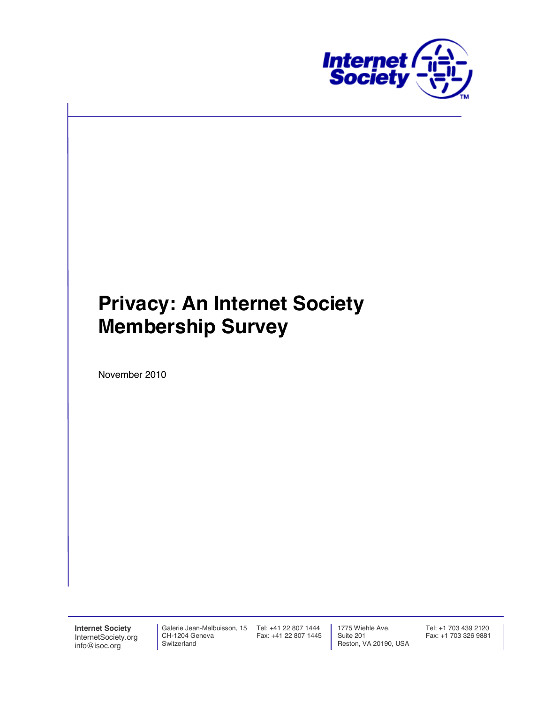

# **Privacy: An Internet Society Membership Survey**

November 2010

 **Internet Society** InternetSociety.org info@isoc.org

CH-1204 Geneva Switzerland

Galerie Jean-Malbuisson, 15 Tel: +41 22 807 1444 Fax: +41 22 807 1445

 1775 Wiehle Ave. Suite 201 Reston, VA 20190, USA

Tel: +1 703 439 2120 Fax: +1 703 326 9881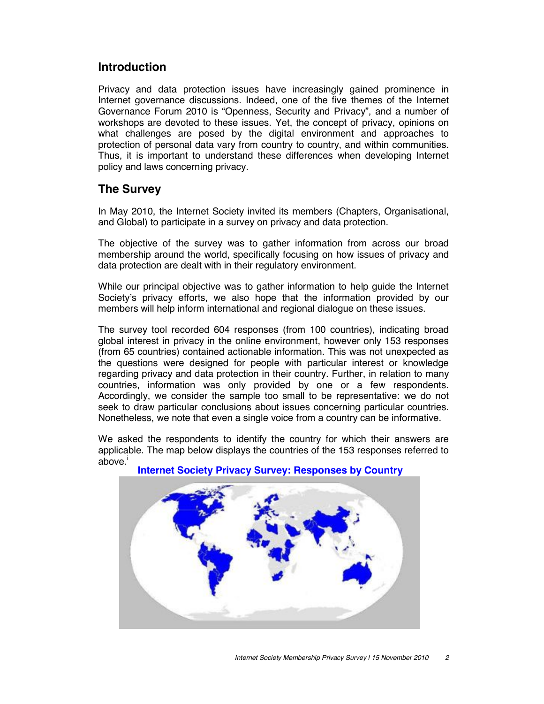# **Introduction**

Privacy and data protection issues have increasingly gained prominence in Internet governance discussions. Indeed, one of the five themes of the Internet Governance Forum 2010 is "Openness, Security and Privacy", and a number of workshops are devoted to these issues. Yet, the concept of privacy, opinions on what challenges are posed by the digital environment and approaches to protection of personal data vary from country to country, and within communities. Thus, it is important to understand these differences when developing Internet policy and laws concerning privacy.

# **The Survey**

In May 2010, the Internet Society invited its members (Chapters, Organisational, and Global) to participate in a survey on privacy and data protection.

The objective of the survey was to gather information from across our broad membership around the world, specifically focusing on how issues of privacy and data protection are dealt with in their regulatory environment.

While our principal objective was to gather information to help guide the Internet Society's privacy efforts, we also hope that the information provided by our members will help inform international and regional dialogue on these issues.

The survey tool recorded 604 responses (from 100 countries), indicating broad global interest in privacy in the online environment, however only 153 responses (from 65 countries) contained actionable information. This was not unexpected as the questions were designed for people with particular interest or knowledge regarding privacy and data protection in their country. Further, in relation to many countries, information was only provided by one or a few respondents. Accordingly, we consider the sample too small to be representative: we do not seek to draw particular conclusions about issues concerning particular countries. Nonetheless, we note that even a single voice from a country can be informative.

We asked the respondents to identify the country for which their answers are applicable. The map below displays the countries of the 153 responses referred to above.



**Internet Society Privacy Survey: Responses by Country**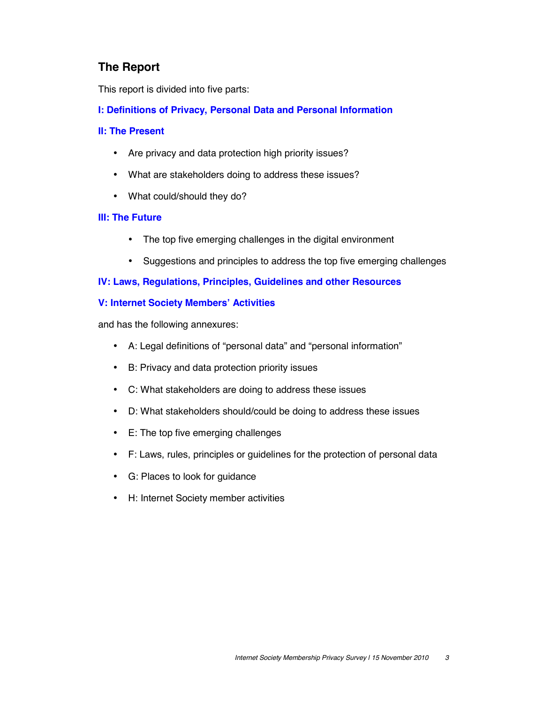# **The Report**

This report is divided into five parts:

# **I: Definitions of Privacy, Personal Data and Personal Information**

## **II: The Present**

- Are privacy and data protection high priority issues?
- What are stakeholders doing to address these issues?
- What could/should they do?

## **III: The Future**

- The top five emerging challenges in the digital environment
- Suggestions and principles to address the top five emerging challenges

# **IV: Laws, Regulations, Principles, Guidelines and other Resources**

## **V: Internet Society Members' Activities**

and has the following annexures:

- A: Legal definitions of "personal data" and "personal information"
- B: Privacy and data protection priority issues
- C: What stakeholders are doing to address these issues
- D: What stakeholders should/could be doing to address these issues
- E: The top five emerging challenges
- F: Laws, rules, principles or guidelines for the protection of personal data
- G: Places to look for guidance
- H: Internet Society member activities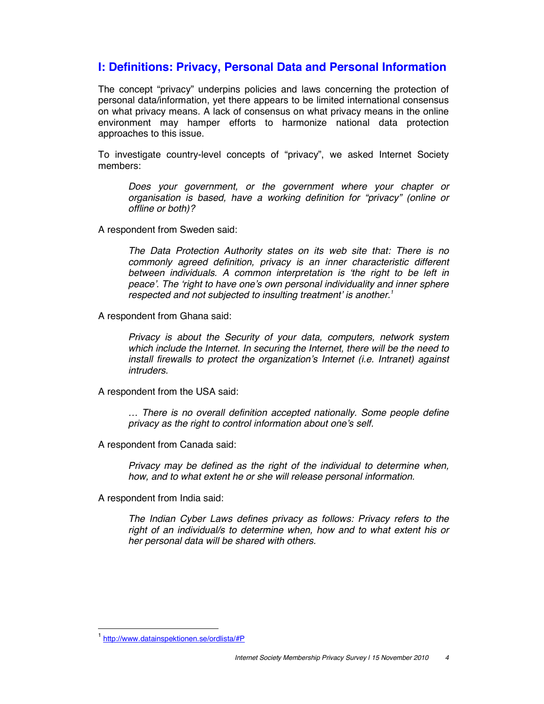# **I: Definitions: Privacy, Personal Data and Personal Information**

The concept "privacy" underpins policies and laws concerning the protection of personal data/information, yet there appears to be limited international consensus on what privacy means. A lack of consensus on what privacy means in the online environment may hamper efforts to harmonize national data protection approaches to this issue.

To investigate country-level concepts of "privacy", we asked Internet Society members:

*Does your government, or the government where your chapter or organisation is based, have a working definition for "privacy" (online or offline or both)?* 

A respondent from Sweden said:

*The Data Protection Authority states on its web site that: There is no commonly agreed definition, privacy is an inner characteristic different between individuals. A common interpretation is 'the right to be left in peace'. The 'right to have one's own personal individuality and inner sphere respected and not subjected to insulting treatment' is another.1*

A respondent from Ghana said:

*Privacy is about the Security of your data, computers, network system which include the Internet. In securing the Internet, there will be the need to install firewalls to protect the organization's Internet (i.e. Intranet) against intruders.* 

A respondent from the USA said:

*… There is no overall definition accepted nationally. Some people define privacy as the right to control information about one's self.* 

A respondent from Canada said:

*Privacy may be defined as the right of the individual to determine when, how, and to what extent he or she will release personal information.*

A respondent from India said:

*The Indian Cyber Laws defines privacy as follows: Privacy refers to the right of an individual/s to determine when, how and to what extent his or her personal data will be shared with others.* 

 $\overline{\phantom{a}}$ 

<sup>1</sup> http://www.datainspektionen.se/ordlista/#P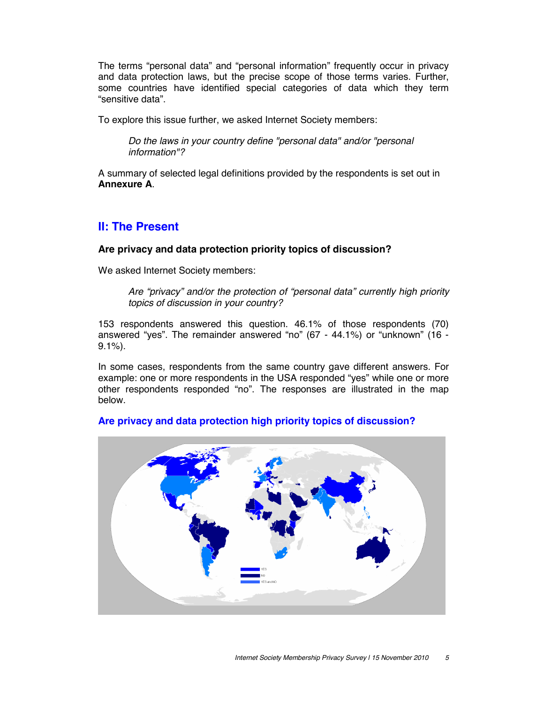The terms "personal data" and "personal information" frequently occur in privacy and data protection laws, but the precise scope of those terms varies. Further, some countries have identified special categories of data which they term "sensitive data".

To explore this issue further, we asked Internet Society members:

*Do the laws in your country define "personal data" and/or "personal information"?* 

A summary of selected legal definitions provided by the respondents is set out in **Annexure A**.

# **II: The Present**

#### **Are privacy and data protection priority topics of discussion?**

We asked Internet Society members:

*Are "privacy" and/or the protection of "personal data" currently high priority topics of discussion in your country?* 

153 respondents answered this question. 46.1% of those respondents (70) answered "yes". The remainder answered "no" (67 - 44.1%) or "unknown" (16 - 9.1%).

In some cases, respondents from the same country gave different answers. For example: one or more respondents in the USA responded "yes" while one or more other respondents responded "no". The responses are illustrated in the map below.



## **Are privacy and data protection high priority topics of discussion?**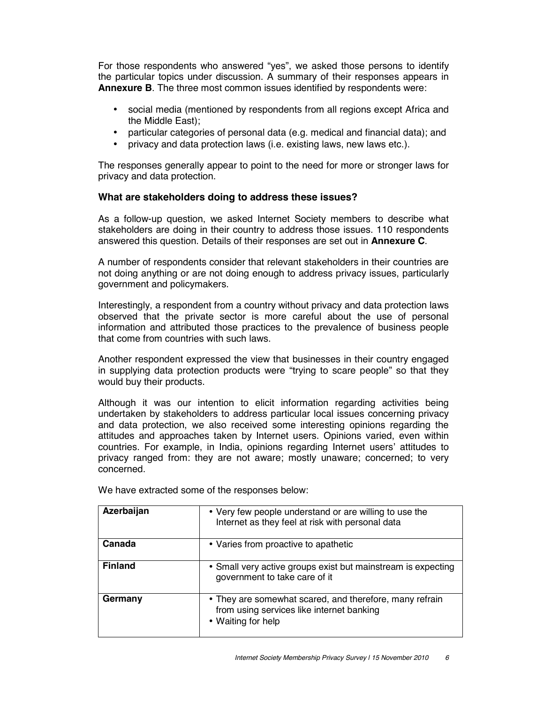For those respondents who answered "yes", we asked those persons to identify the particular topics under discussion. A summary of their responses appears in **Annexure B**. The three most common issues identified by respondents were:

- social media (mentioned by respondents from all regions except Africa and the Middle East);
- particular categories of personal data (e.g. medical and financial data); and
- privacy and data protection laws (i.e. existing laws, new laws etc.).

The responses generally appear to point to the need for more or stronger laws for privacy and data protection.

#### **What are stakeholders doing to address these issues?**

As a follow-up question, we asked Internet Society members to describe what stakeholders are doing in their country to address those issues. 110 respondents answered this question. Details of their responses are set out in **Annexure C**.

A number of respondents consider that relevant stakeholders in their countries are not doing anything or are not doing enough to address privacy issues, particularly government and policymakers.

Interestingly, a respondent from a country without privacy and data protection laws observed that the private sector is more careful about the use of personal information and attributed those practices to the prevalence of business people that come from countries with such laws.

Another respondent expressed the view that businesses in their country engaged in supplying data protection products were "trying to scare people" so that they would buy their products.

Although it was our intention to elicit information regarding activities being undertaken by stakeholders to address particular local issues concerning privacy and data protection, we also received some interesting opinions regarding the attitudes and approaches taken by Internet users. Opinions varied, even within countries. For example, in India, opinions regarding Internet users' attitudes to privacy ranged from: they are not aware; mostly unaware; concerned; to very concerned.

| Azerbaijan     | • Very few people understand or are willing to use the<br>Internet as they feel at risk with personal data                 |  |  |  |
|----------------|----------------------------------------------------------------------------------------------------------------------------|--|--|--|
| Canada         | • Varies from proactive to apathetic                                                                                       |  |  |  |
| <b>Finland</b> | • Small very active groups exist but mainstream is expecting<br>government to take care of it                              |  |  |  |
| Germany        | • They are somewhat scared, and therefore, many refrain<br>from using services like internet banking<br>• Waiting for help |  |  |  |

We have extracted some of the responses below: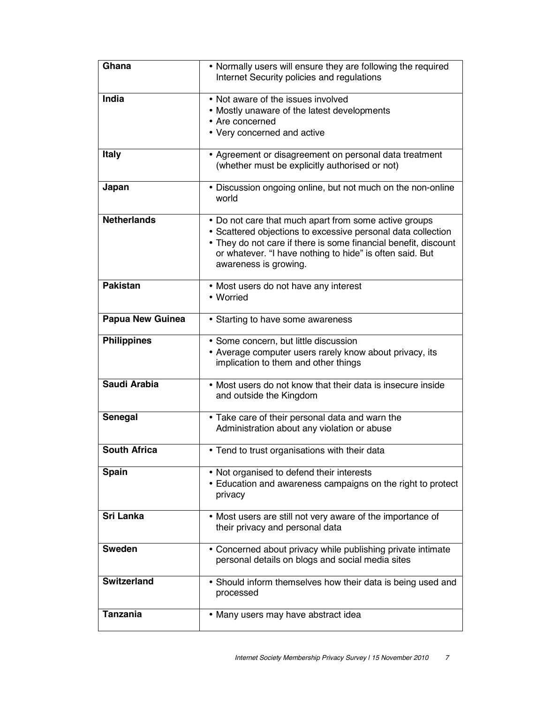| Ghana                   | • Normally users will ensure they are following the required<br>Internet Security policies and regulations                                                                                                                                                                    |  |  |  |  |
|-------------------------|-------------------------------------------------------------------------------------------------------------------------------------------------------------------------------------------------------------------------------------------------------------------------------|--|--|--|--|
| India                   | • Not aware of the issues involved<br>• Mostly unaware of the latest developments<br>• Are concerned<br>• Very concerned and active                                                                                                                                           |  |  |  |  |
| <b>Italy</b>            | • Agreement or disagreement on personal data treatment<br>(whether must be explicitly authorised or not)                                                                                                                                                                      |  |  |  |  |
| Japan                   | • Discussion ongoing online, but not much on the non-online<br>world                                                                                                                                                                                                          |  |  |  |  |
| <b>Netherlands</b>      | • Do not care that much apart from some active groups<br>• Scattered objections to excessive personal data collection<br>• They do not care if there is some financial benefit, discount<br>or whatever. "I have nothing to hide" is often said. But<br>awareness is growing. |  |  |  |  |
| <b>Pakistan</b>         | • Most users do not have any interest<br>• Worried                                                                                                                                                                                                                            |  |  |  |  |
| <b>Papua New Guinea</b> | • Starting to have some awareness                                                                                                                                                                                                                                             |  |  |  |  |
| <b>Philippines</b>      | • Some concern, but little discussion<br>• Average computer users rarely know about privacy, its<br>implication to them and other things                                                                                                                                      |  |  |  |  |
| Saudi Arabia            | • Most users do not know that their data is insecure inside<br>and outside the Kingdom                                                                                                                                                                                        |  |  |  |  |
| Senegal                 | • Take care of their personal data and warn the<br>Administration about any violation or abuse                                                                                                                                                                                |  |  |  |  |
| <b>South Africa</b>     | • Tend to trust organisations with their data                                                                                                                                                                                                                                 |  |  |  |  |
| Spain                   | • Not organised to defend their interests<br>• Education and awareness campaigns on the right to protect<br>privacy                                                                                                                                                           |  |  |  |  |
| <b>Sri Lanka</b>        | • Most users are still not very aware of the importance of<br>their privacy and personal data                                                                                                                                                                                 |  |  |  |  |
| <b>Sweden</b>           | • Concerned about privacy while publishing private intimate<br>personal details on blogs and social media sites                                                                                                                                                               |  |  |  |  |
| <b>Switzerland</b>      | • Should inform themselves how their data is being used and<br>processed                                                                                                                                                                                                      |  |  |  |  |
| <b>Tanzania</b>         | • Many users may have abstract idea                                                                                                                                                                                                                                           |  |  |  |  |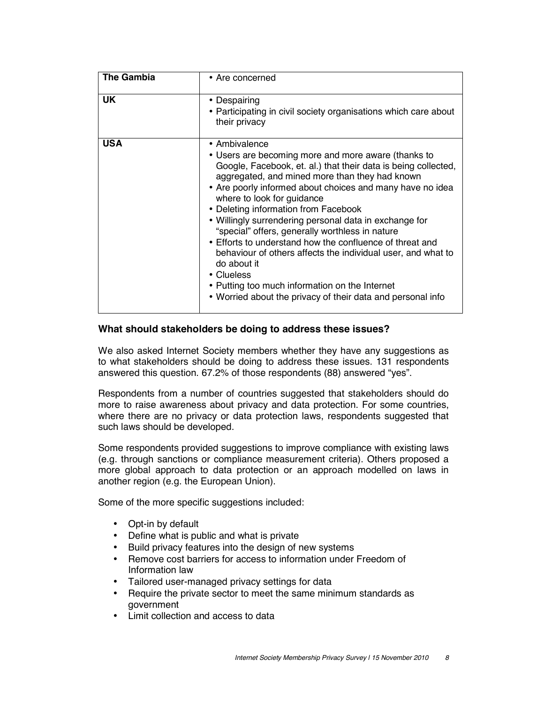| <b>The Gambia</b> | • Are concerned                                                                                                                                                                                                                                                                                                                                                                                                                                                                                                                                                                                                                                                                                                    |  |  |  |  |
|-------------------|--------------------------------------------------------------------------------------------------------------------------------------------------------------------------------------------------------------------------------------------------------------------------------------------------------------------------------------------------------------------------------------------------------------------------------------------------------------------------------------------------------------------------------------------------------------------------------------------------------------------------------------------------------------------------------------------------------------------|--|--|--|--|
| <b>UK</b>         | • Despairing<br>• Participating in civil society organisations which care about<br>their privacy                                                                                                                                                                                                                                                                                                                                                                                                                                                                                                                                                                                                                   |  |  |  |  |
| <b>USA</b>        | • Ambivalence<br>• Users are becoming more and more aware (thanks to<br>Google, Facebook, et. al.) that their data is being collected,<br>aggregated, and mined more than they had known<br>• Are poorly informed about choices and many have no idea<br>where to look for guidance<br>• Deleting information from Facebook<br>• Willingly surrendering personal data in exchange for<br>"special" offers, generally worthless in nature<br>• Efforts to understand how the confluence of threat and<br>behaviour of others affects the individual user, and what to<br>do about it<br>• Clueless<br>• Putting too much information on the Internet<br>• Worried about the privacy of their data and personal info |  |  |  |  |

## **What should stakeholders be doing to address these issues?**

We also asked Internet Society members whether they have any suggestions as to what stakeholders should be doing to address these issues. 131 respondents answered this question. 67.2% of those respondents (88) answered "yes".

Respondents from a number of countries suggested that stakeholders should do more to raise awareness about privacy and data protection. For some countries, where there are no privacy or data protection laws, respondents suggested that such laws should be developed.

Some respondents provided suggestions to improve compliance with existing laws (e.g. through sanctions or compliance measurement criteria). Others proposed a more global approach to data protection or an approach modelled on laws in another region (e.g. the European Union).

Some of the more specific suggestions included:

- Opt-in by default
- Define what is public and what is private
- Build privacy features into the design of new systems
- Remove cost barriers for access to information under Freedom of Information law
- Tailored user-managed privacy settings for data
- Require the private sector to meet the same minimum standards as government
- Limit collection and access to data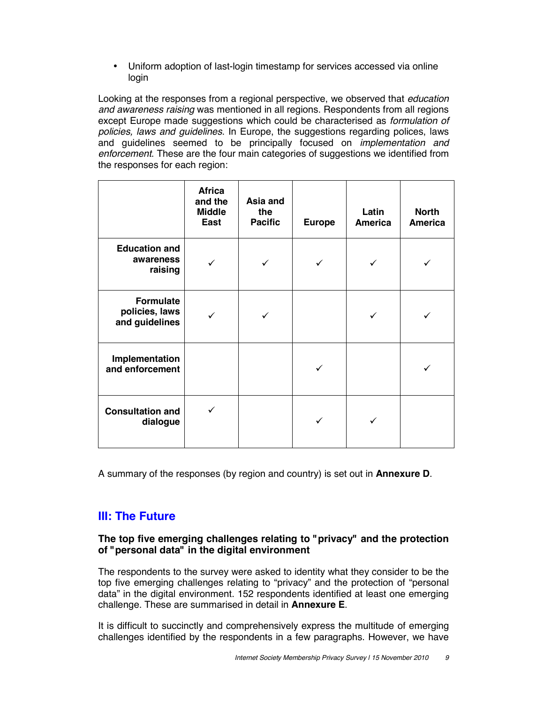• Uniform adoption of last-login timestamp for services accessed via online login

Looking at the responses from a regional perspective, we observed that *education and awareness raising* was mentioned in all regions. Respondents from all regions except Europe made suggestions which could be characterised as *formulation of policies, laws and guidelines*. In Europe, the suggestions regarding polices, laws and guidelines seemed to be principally focused on *implementation and enforcement*. These are the four main categories of suggestions we identified from the responses for each region:

|                                                      | <b>Africa</b><br>and the<br><b>Middle</b><br>East | Asia and<br>the<br><b>Pacific</b> | <b>Europe</b> | Latin<br><b>America</b> | <b>North</b><br><b>America</b> |
|------------------------------------------------------|---------------------------------------------------|-----------------------------------|---------------|-------------------------|--------------------------------|
| <b>Education and</b><br>awareness<br>raising         |                                                   |                                   |               |                         |                                |
| <b>Formulate</b><br>policies, laws<br>and guidelines |                                                   |                                   |               |                         |                                |
| Implementation<br>and enforcement                    |                                                   |                                   |               |                         |                                |
| <b>Consultation and</b><br>dialogue                  | ✓                                                 |                                   |               |                         |                                |

A summary of the responses (by region and country) is set out in **Annexure D**.

# **III: The Future**

## **The top five emerging challenges relating to "privacy" and the protection of "personal data" in the digital environment**

The respondents to the survey were asked to identity what they consider to be the top five emerging challenges relating to "privacy" and the protection of "personal data" in the digital environment. 152 respondents identified at least one emerging challenge. These are summarised in detail in **Annexure E**.

It is difficult to succinctly and comprehensively express the multitude of emerging challenges identified by the respondents in a few paragraphs. However, we have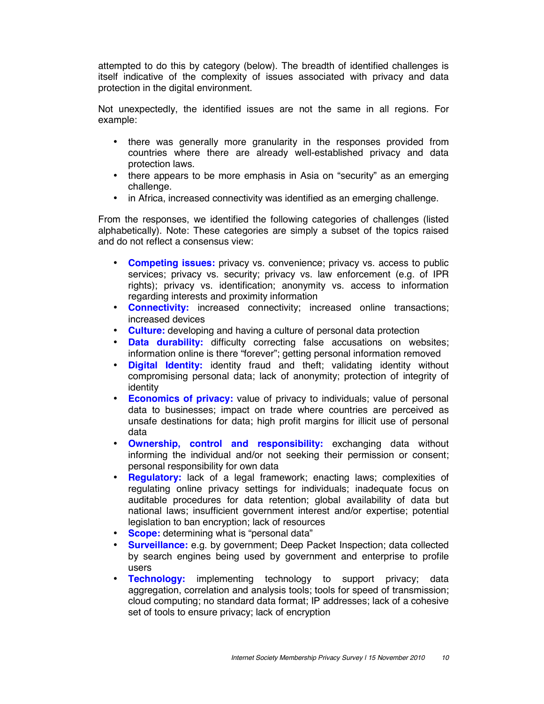attempted to do this by category (below). The breadth of identified challenges is itself indicative of the complexity of issues associated with privacy and data protection in the digital environment.

Not unexpectedly, the identified issues are not the same in all regions. For example:

- there was generally more granularity in the responses provided from countries where there are already well-established privacy and data protection laws.
- there appears to be more emphasis in Asia on "security" as an emerging challenge.
- in Africa, increased connectivity was identified as an emerging challenge.

From the responses, we identified the following categories of challenges (listed alphabetically). Note: These categories are simply a subset of the topics raised and do not reflect a consensus view:

- **Competing issues:** privacy vs. convenience; privacy vs. access to public services; privacy vs. security; privacy vs. law enforcement (e.g. of IPR rights); privacy vs. identification; anonymity vs. access to information regarding interests and proximity information
- **Connectivity:** increased connectivity; increased online transactions; increased devices
- **Culture:** developing and having a culture of personal data protection
- **Data durability:** difficulty correcting false accusations on websites; information online is there "forever"; getting personal information removed
- **Digital Identity:** identity fraud and theft; validating identity without compromising personal data; lack of anonymity; protection of integrity of identity
- **Economics of privacy:** value of privacy to individuals; value of personal data to businesses; impact on trade where countries are perceived as unsafe destinations for data; high profit margins for illicit use of personal data
- **Ownership, control and responsibility:** exchanging data without informing the individual and/or not seeking their permission or consent; personal responsibility for own data
- **Regulatory:** lack of a legal framework; enacting laws; complexities of regulating online privacy settings for individuals; inadequate focus on auditable procedures for data retention; global availability of data but national laws; insufficient government interest and/or expertise; potential legislation to ban encryption; lack of resources
- **Scope:** determining what is "personal data"
- **Surveillance:** e.g. by government; Deep Packet Inspection; data collected by search engines being used by government and enterprise to profile users
- **Technology:** implementing technology to support privacy; data aggregation, correlation and analysis tools; tools for speed of transmission; cloud computing; no standard data format; IP addresses; lack of a cohesive set of tools to ensure privacy; lack of encryption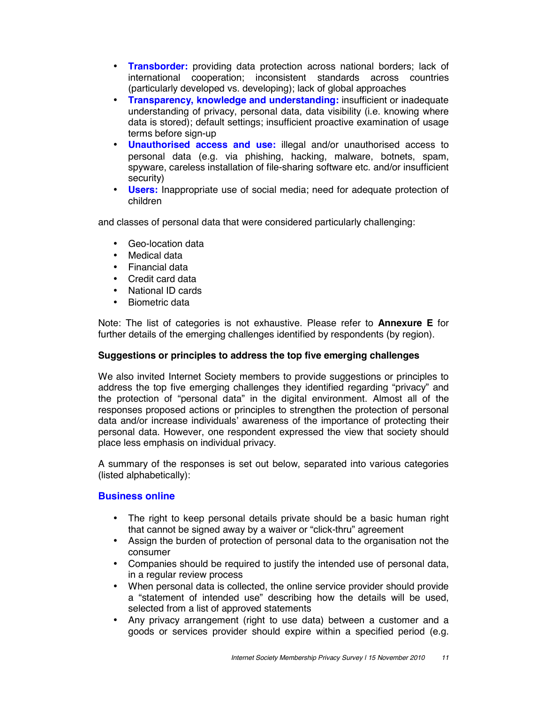- **Transborder:** providing data protection across national borders; lack of international cooperation; inconsistent standards across countries (particularly developed vs. developing); lack of global approaches
- **Transparency, knowledge and understanding:** insufficient or inadequate understanding of privacy, personal data, data visibility (i.e. knowing where data is stored); default settings; insufficient proactive examination of usage terms before sign-up
- **Unauthorised access and use:** illegal and/or unauthorised access to personal data (e.g. via phishing, hacking, malware, botnets, spam, spyware, careless installation of file-sharing software etc. and/or insufficient security)
- **Users:** Inappropriate use of social media; need for adequate protection of children

and classes of personal data that were considered particularly challenging:

- Geo-location data
- Medical data
- Financial data
- Credit card data
- National ID cards
- Biometric data

Note: The list of categories is not exhaustive. Please refer to **Annexure E** for further details of the emerging challenges identified by respondents (by region).

#### **Suggestions or principles to address the top five emerging challenges**

We also invited Internet Society members to provide suggestions or principles to address the top five emerging challenges they identified regarding "privacy" and the protection of "personal data" in the digital environment. Almost all of the responses proposed actions or principles to strengthen the protection of personal data and/or increase individuals' awareness of the importance of protecting their personal data. However, one respondent expressed the view that society should place less emphasis on individual privacy.

A summary of the responses is set out below, separated into various categories (listed alphabetically):

## **Business online**

- The right to keep personal details private should be a basic human right that cannot be signed away by a waiver or "click-thru" agreement
- Assign the burden of protection of personal data to the organisation not the consumer
- Companies should be required to justify the intended use of personal data, in a regular review process
- When personal data is collected, the online service provider should provide a "statement of intended use" describing how the details will be used, selected from a list of approved statements
- Any privacy arrangement (right to use data) between a customer and a goods or services provider should expire within a specified period (e.g.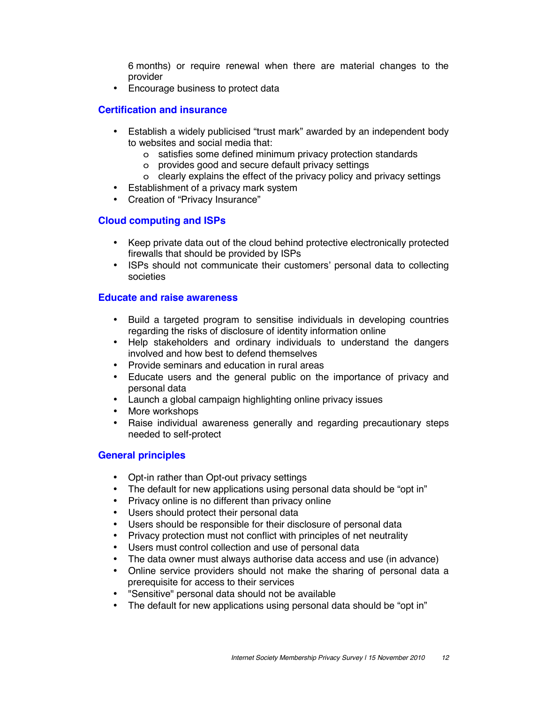6 months) or require renewal when there are material changes to the provider

• Encourage business to protect data

#### **Certification and insurance**

- Establish a widely publicised "trust mark" awarded by an independent body to websites and social media that:
	- o satisfies some defined minimum privacy protection standards
	- o provides good and secure default privacy settings
	- o clearly explains the effect of the privacy policy and privacy settings
- Establishment of a privacy mark system
- Creation of "Privacy Insurance"

#### **Cloud computing and ISPs**

- Keep private data out of the cloud behind protective electronically protected firewalls that should be provided by ISPs
- ISPs should not communicate their customers' personal data to collecting societies

#### **Educate and raise awareness**

- Build a targeted program to sensitise individuals in developing countries regarding the risks of disclosure of identity information online
- Help stakeholders and ordinary individuals to understand the dangers involved and how best to defend themselves
- Provide seminars and education in rural areas
- Educate users and the general public on the importance of privacy and personal data
- Launch a global campaign highlighting online privacy issues
- More workshops
- Raise individual awareness generally and regarding precautionary steps needed to self-protect

#### **General principles**

- Opt-in rather than Opt-out privacy settings
- The default for new applications using personal data should be "opt in"
- Privacy online is no different than privacy online
- Users should protect their personal data
- Users should be responsible for their disclosure of personal data
- Privacy protection must not conflict with principles of net neutrality
- Users must control collection and use of personal data
- The data owner must always authorise data access and use (in advance)
- Online service providers should not make the sharing of personal data a prerequisite for access to their services
- "Sensitive" personal data should not be available
- The default for new applications using personal data should be "opt in"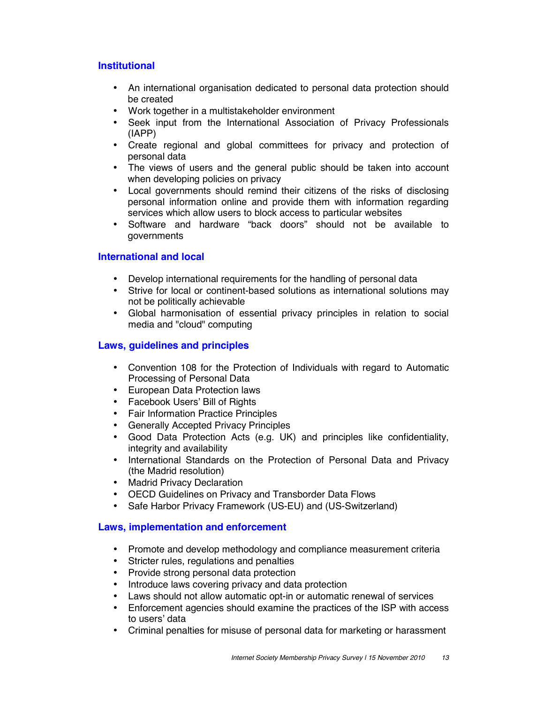#### **Institutional**

- An international organisation dedicated to personal data protection should be created
- Work together in a multistakeholder environment
- Seek input from the International Association of Privacy Professionals (IAPP)
- Create regional and global committees for privacy and protection of personal data
- The views of users and the general public should be taken into account when developing policies on privacy
- Local governments should remind their citizens of the risks of disclosing personal information online and provide them with information regarding services which allow users to block access to particular websites
- Software and hardware "back doors" should not be available to governments

## **International and local**

- Develop international requirements for the handling of personal data
- Strive for local or continent-based solutions as international solutions may not be politically achievable
- Global harmonisation of essential privacy principles in relation to social media and "cloud" computing

## **Laws, guidelines and principles**

- Convention 108 for the Protection of Individuals with regard to Automatic Processing of Personal Data
- European Data Protection laws
- Facebook Users' Bill of Rights
- Fair Information Practice Principles
- Generally Accepted Privacy Principles
- Good Data Protection Acts (e.g. UK) and principles like confidentiality, integrity and availability
- International Standards on the Protection of Personal Data and Privacy (the Madrid resolution)
- Madrid Privacy Declaration<br>• OECD Guidelines on Privac
- OECD Guidelines on Privacy and Transborder Data Flows
- Safe Harbor Privacy Framework (US-EU) and (US-Switzerland)

## **Laws, implementation and enforcement**

- Promote and develop methodology and compliance measurement criteria
- Stricter rules, regulations and penalties
- Provide strong personal data protection
- Introduce laws covering privacy and data protection
- Laws should not allow automatic opt-in or automatic renewal of services
- Enforcement agencies should examine the practices of the ISP with access to users' data
- Criminal penalties for misuse of personal data for marketing or harassment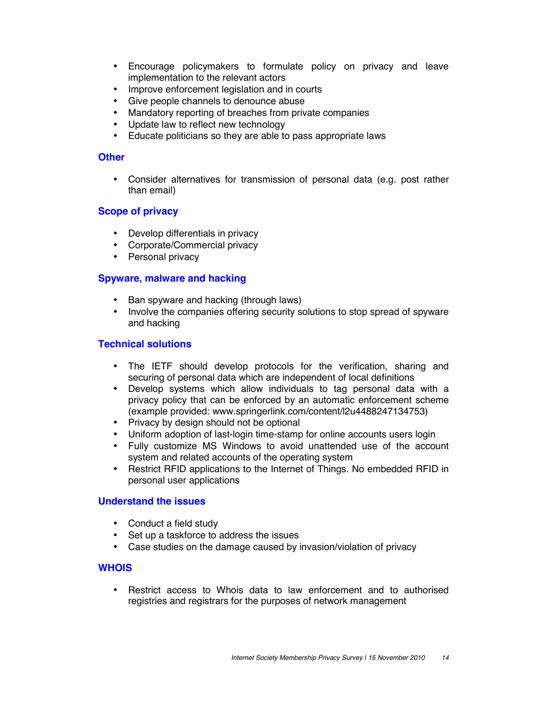- Encourage policymakers to formulate policy on privacy and leave implementation to the relevant actors
- Improve enforcement legislation and in courts
- Give people channels to denounce abuse
- Mandatory reporting of breaches from private companies
- Update law to reflect new technology
- Educate politicians so they are able to pass appropriate laws

#### **Other**

• Consider alternatives for transmission of personal data (e.g. post rather than email)

#### **Scope of privacy**

- Develop differentials in privacy
- Corporate/Commercial privacy
- Personal privacy

#### **Spyware, malware and hacking**

- Ban spyware and hacking (through laws)
- Involve the companies offering security solutions to stop spread of spyware and hacking

#### **Technical solutions**

- The IETF should develop protocols for the verification, sharing and securing of personal data which are independent of local definitions
- Develop systems which allow individuals to tag personal data with a privacy policy that can be enforced by an automatic enforcement scheme (example provided: www.springerlink.com/content/l2u4488247134753)
- Privacy by design should not be optional
- Uniform adoption of last-login time-stamp for online accounts users login
- Fully customize MS Windows to avoid unattended use of the account system and related accounts of the operating system
- Restrict RFID applications to the Internet of Things. No embedded RFID in personal user applications

#### **Understand the issues**

- Conduct a field study
- Set up a taskforce to address the issues
- Case studies on the damage caused by invasion/violation of privacy

## **WHOIS**

• Restrict access to Whois data to law enforcement and to authorised registries and registrars for the purposes of network management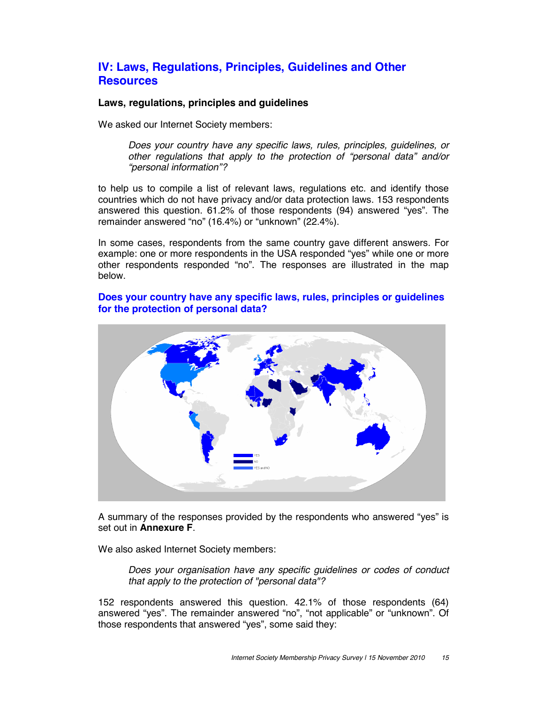# **IV: Laws, Regulations, Principles, Guidelines and Other Resources**

#### **Laws, regulations, principles and guidelines**

We asked our Internet Society members:

*Does your country have any specific laws, rules, principles, guidelines, or other regulations that apply to the protection of "personal data" and/or "personal information"?* 

to help us to compile a list of relevant laws, regulations etc. and identify those countries which do not have privacy and/or data protection laws. 153 respondents answered this question. 61.2% of those respondents (94) answered "yes". The remainder answered "no" (16.4%) or "unknown" (22.4%).

In some cases, respondents from the same country gave different answers. For example: one or more respondents in the USA responded "yes" while one or more other respondents responded "no". The responses are illustrated in the map below.

#### **Does your country have any specific laws, rules, principles or guidelines for the protection of personal data?**



A summary of the responses provided by the respondents who answered "yes" is set out in **Annexure F**.

We also asked Internet Society members:

*Does your organisation have any specific guidelines or codes of conduct that apply to the protection of "personal data"?* 

152 respondents answered this question. 42.1% of those respondents (64) answered "yes". The remainder answered "no", "not applicable" or "unknown". Of those respondents that answered "yes", some said they: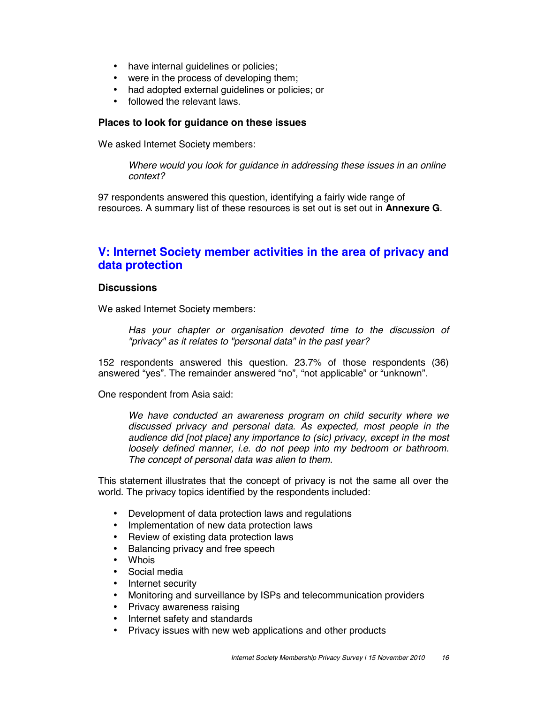- have internal guidelines or policies;
- were in the process of developing them;
- had adopted external guidelines or policies; or
- followed the relevant laws.

#### **Places to look for guidance on these issues**

We asked Internet Society members:

*Where would you look for guidance in addressing these issues in an online context?* 

97 respondents answered this question, identifying a fairly wide range of resources. A summary list of these resources is set out is set out in **Annexure G**.

# **V: Internet Society member activities in the area of privacy and data protection**

#### **Discussions**

We asked Internet Society members:

*Has your chapter or organisation devoted time to the discussion of "privacy" as it relates to "personal data" in the past year?* 

152 respondents answered this question. 23.7% of those respondents (36) answered "yes". The remainder answered "no", "not applicable" or "unknown".

One respondent from Asia said:

*We have conducted an awareness program on child security where we discussed privacy and personal data. As expected, most people in the audience did [not place] any importance to (sic) privacy, except in the most loosely defined manner, i.e. do not peep into my bedroom or bathroom. The concept of personal data was alien to them.* 

This statement illustrates that the concept of privacy is not the same all over the world. The privacy topics identified by the respondents included:

- Development of data protection laws and regulations
- Implementation of new data protection laws
- Review of existing data protection laws
- Balancing privacy and free speech
- **Whois**
- Social media
- Internet security
- Monitoring and surveillance by ISPs and telecommunication providers
- Privacy awareness raising
- Internet safety and standards
- Privacy issues with new web applications and other products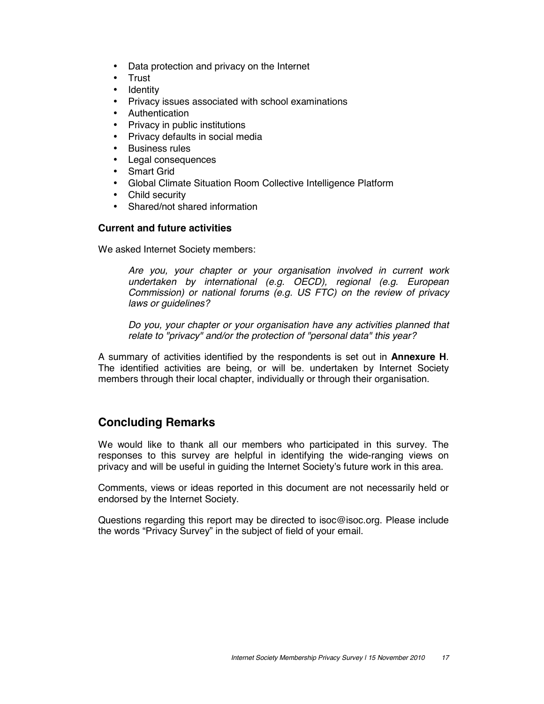- Data protection and privacy on the Internet
- Trust
- **Identity**
- Privacy issues associated with school examinations
- **Authentication**
- Privacy in public institutions
- Privacy defaults in social media
- Business rules
- Legal consequences
- Smart Grid
- Global Climate Situation Room Collective Intelligence Platform
- Child security
- Shared/not shared information

#### **Current and future activities**

We asked Internet Society members:

*Are you, your chapter or your organisation involved in current work undertaken by international (e.g. OECD), regional (e.g. European Commission) or national forums (e.g. US FTC) on the review of privacy laws or guidelines?* 

*Do you, your chapter or your organisation have any activities planned that relate to "privacy" and/or the protection of "personal data" this year?* 

A summary of activities identified by the respondents is set out in **Annexure H**. The identified activities are being, or will be. undertaken by Internet Society members through their local chapter, individually or through their organisation.

# **Concluding Remarks**

We would like to thank all our members who participated in this survey. The responses to this survey are helpful in identifying the wide-ranging views on privacy and will be useful in guiding the Internet Society's future work in this area.

Comments, views or ideas reported in this document are not necessarily held or endorsed by the Internet Society.

Questions regarding this report may be directed to isoc@isoc.org. Please include the words "Privacy Survey" in the subject of field of your email.